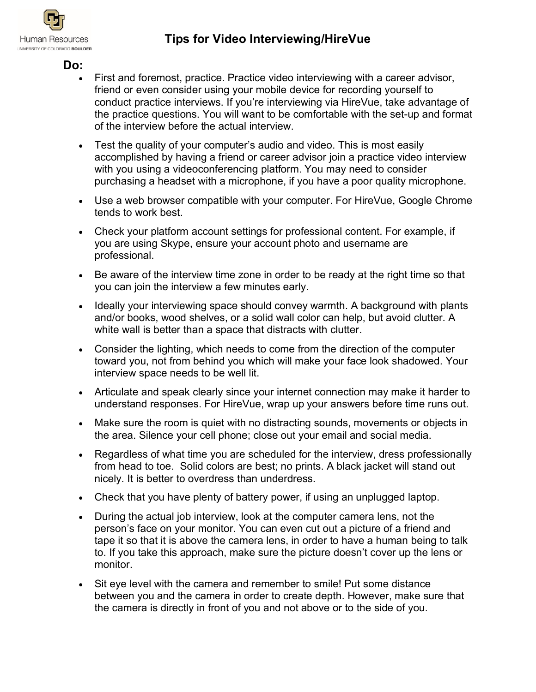

## **Do:**

- First and foremost, practice. Practice video interviewing with a career advisor, friend or even consider using your mobile device for recording yourself to conduct practice interviews. If you're interviewing via HireVue, take advantage of the practice questions. You will want to be comfortable with the set-up and format of the interview before the actual interview.
- Test the quality of your computer's audio and video. This is most easily accomplished by having a friend or career advisor join a practice video interview with you using a videoconferencing platform. You may need to consider purchasing a headset with a microphone, if you have a poor quality microphone.
- Use a web browser compatible with your computer. For HireVue, Google Chrome tends to work best.
- Check your platform account settings for professional content. For example, if you are using Skype, ensure your account photo and username are professional.
- Be aware of the interview time zone in order to be ready at the right time so that you can join the interview a few minutes early.
- Ideally your interviewing space should convey warmth. A background with plants and/or books, wood shelves, or a solid wall color can help, but avoid clutter. A white wall is better than a space that distracts with clutter.
- Consider the lighting, which needs to come from the direction of the computer toward you, not from behind you which will make your face look shadowed. Your interview space needs to be well lit.
- Articulate and speak clearly since your internet connection may make it harder to understand responses. For HireVue, wrap up your answers before time runs out.
- Make sure the room is quiet with no distracting sounds, movements or objects in the area. Silence your cell phone; close out your email and social media.
- Regardless of what time you are scheduled for the interview, dress professionally from head to toe. Solid colors are best; no prints. A black jacket will stand out nicely. It is better to overdress than underdress.
- Check that you have plenty of battery power, if using an unplugged laptop.
- During the actual job interview, look at the computer camera lens, not the person's face on your monitor. You can even cut out a picture of a friend and tape it so that it is above the camera lens, in order to have a human being to talk to. If you take this approach, make sure the picture doesn't cover up the lens or monitor.
- Sit eye level with the camera and remember to smile! Put some distance between you and the camera in order to create depth. However, make sure that the camera is directly in front of you and not above or to the side of you.